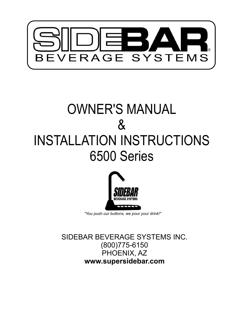

# OWNER'S MANUAL & INSTALLATION INSTRUCTIONS 6500 Series



SIDEBAR BEVERAGE SYSTEMS INC. (800)775-6150 PHOENIX, AZ **www.supersidebar.com**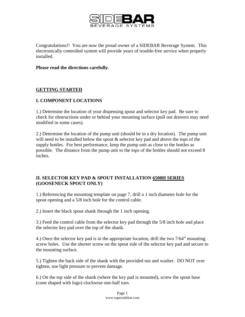

Congratulations!! You are now the proud owner of a SIDEBAR Beverage System. This electronically controlled system will provide years of trouble-free service when properly installed.

#### **Please read the directions carefully.**

## **GETTING STARTED**

## **I. COMPONENT LOCATIONS**

1.) Determine the location of your dispensing spout and selector key pad. Be sure to check for obstructions under or behind your mounting surface (pull out drawers may need modified in some cases).

2.) Determine the location of the pump unit (should be in a dry location). The pump unit will need to be installed below the spout  $\&$  selector key pad and above the tops of the supply bottles. For best performance, keep the pump unit as close to the bottles as possible. The distance from the pump unit to the tops of the bottles should not exceed 8 inches.

## **II. SELECTOR KEY PAD & SPOUT INSTALLATION 6500H SERIES (GOOSENECK SPOUT ONLY)**

1.) Referencing the mounting template on page 7, drill a 1 inch diameter hole for the spout opening and a 5/8 inch hole for the control cable.

2.) Insert the black spout shank through the 1 inch opening.

3.) Feed the control cable from the selector key pad through the 5/8 inch hole and place the selector key pad over the top of the shank.

4.) Once the selector key pad is in the appropriate location, drill the two 7/64" mounting screw holes. Use the shorter screw on the spout side of the selector key pad and secure to the mounting surface.

5.) Tighten the back side of the shank with the provided nut and washer. DO NOT over tighten, use light pressure to prevent damage.

6.) On the top side of the shank (where the key pad is mounted), screw the spout base (cone shaped with logo) clockwise one-half turn.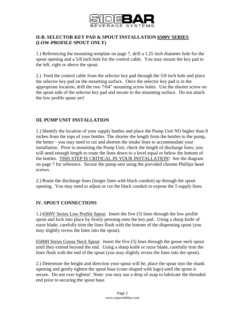

## **II-B. SELECTOR KEY PAD & SPOUT INSTALLATION 6500V SERIES (LOW-PROFILE SPOUT ONLY)**

1.) Referencing the mounting template on page 7, drill a 1.25 inch diameter hole for the spout opening and a 5/8 inch hole for the control cable. You may mount the key pad to the left, right or above the spout.

2.) Feed the control cable from the selector key pad through the 5/8 inch hole and place the selector key pad on the mounting surface. Once the selector key pad is in the appropriate location, drill the two 7/64" mounting screw holes. Use the shorter screw on the spout side of the selector key pad and secure to the mounting surface. Do not attach the low profile spout yet!

## **III. PUMP UNIT INSTALLATION**

1.) Identify the location of your supply bottles and place the Pump Unit NO higher than 8 inches from the tops of your bottles. The shorter the length from the bottles to the pump, the better - you may need to cut and shorten the intake lines to accommodate your installation. Prior to mounting the Pump Unit, check the length of discharge lines; you will need enough length to route the lines down to a level equal or below the bottom of the bottles. THIS STEP IS CRITICAL IN YOUR INSTALLATION! See the diagram on page 7 for reference. Secure the pump unit using the provided chrome Phillips head screws.

2.) Route the discharge lines (longer lines with black conduit) up through the spout opening. You may need to adjust or cut the black conduit to expose the 5 supply lines.

## **IV. SPOUT CONNECTIONS**

1.) 6500V Series Low Profile Spout: Insert the five (5) lines through the low profile spout and lock into place by firmly pressing onto the key pad. Using a sharp knife of razor blade, carefully trim the lines flush with the bottom of the dispensing spout (you may slightly recess the lines into the spout).

6500H Series Goose Neck Spout: Insert the five (5) lines through the goose neck spout until they extend beyond the end. Using a sharp knife or razor blade, carefully trim the lines flush with the end of the spout (you may slightly recess the lines into the spout).

2.) Determine the height and direction your spout will be, place the spout into the shank opening and gently tighten the spout base (cone shaped with logo) until the spout is secure. Do not over tighten! Note: you may use a drop of soap to lubricate the threaded end prior to securing the spout base.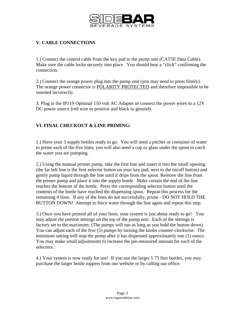

# **V. CABLE CONNECTIONS**

1.) Connect the control cable from the key pad to the pump unit (CAT5E Data Cable). Make sure the cable locks securely into place. You should hear a "click" confirming the connection.

2.) Connect the orange power plug into the pump unit (you may need to press firmly). The orange power connector is POLARITY PROTECTED and therefore impossible to be inserted incorrectly

3. Plug in the IP119 Optional 110 volt AC Adapter or connect the power wires to a 12V DC power source (red wire to positive and black to ground).

# **VI. FINAL CHECKOUT & LINE PRIMING:**

1.) Have your 5 supply bottles ready to go. You will need a pitcher or container of water to prime each of the five lines, you will also need a cup or glass under the spout to catch the water you are pumping.

2.) Using the manual primer pump, take the first line and insert it into the small opening. (the far left line is the first selector button on your key pad; next to the on/off button) and gently pump liquid through the line until it drips from the spout. Remove the line from the primer pump and place it into the supply bottle. Make certain the end of the line reaches the bottom of the bottle. Press the corresponding selector button until the contents of the bottle have reached the dispensing spout. Repeat this process for the remaining 4 lines. If any of the lines do not successfully, prime - DO NOT HOLD THE BUTTON DOWN! Attempt to force water through the line again and repeat this step.

3.) Once you have primed all of your lines, your system is just about ready to go! You may adjust the portion settings on the top of the pump unit. Each of the settings is factory set to the maximum. (The pumps will run as long as you hold the button down). You can adjust each of the five (5) pumps by turning the knobs counter-clockwise. The minimum setting will stop the pump after it has dispensed approximately one (1) ounce. You may make small adjustments to increase the pre-measured amount for each of the selectors.

4.) Your system is now ready for use! If you use the larger 1.75 liter bottles, you may purchase the larger bottle toppers from our website or by calling our office.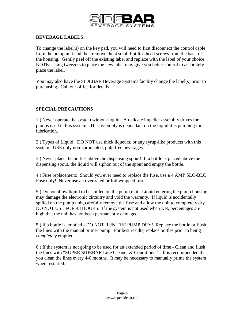

### **BEVERAGE LABELS**

To change the label(s) on the key pad, you will need to first disconnect the control cable from the pump unit and then remove the 4 small Phillips head screws from the back of the housing. Gently peel off the existing label and replace with the label of your choice. NOTE: Using tweezers to place the new label may give you better control to accurately place the label.

You may also have the SIDEBAR Beverage Systems facility change the label(s) prior to purchasing. Call our office for details.

## **SPECIAL PRECAUTIONS**

1.) Never operate the system without liquid! A delicate impeller assembly drives the pumps used in this system. This assembly is dependant on the liquid it is pumping for lubrication.

2.) Types of Liquid: DO NOT use thick liqueurs, or any syrup-like products with this system. USE only non-carbonated, pulp free beverages.

3.) Never place the bottles above the dispensing spout! If a bottle is placed above the dispensing spout, the liquid will siphon out of the spout and empty the bottle.

4.) Fuse replacement: Should you ever need to replace the fuse, use a 4 AMP SLO-BLO Fuse only! Never use an over rated or foil wrapped fuse.

5.) Do not allow liquid to be spilled on the pump unit. Liquid entering the pump housing may damage the electronic circuitry and void the warranty. If liquid is accidentally spilled on the pump unit, carefully remove the fuse and allow the unit to completely dry. DO NOT USE FOR 48 HOURS. If the system is not used when wet, percentages are high that the unit has not been permanently damaged.

5.) If a bottle is emptied - DO NOT RUN THE PUMP DRY! Replace the bottle or flush the lines with the manual primer pump. For best results, replace bottles prior to being *completely* emptied.

6.) If the system is not going to be used for an extended period of time - Clean and flush the lines with "SUPER SIDEBAR Line Cleaner & Conditioner". It is recommended that you clean the lines every 4-6 months. It may be necessary to manually prime the system when restarted.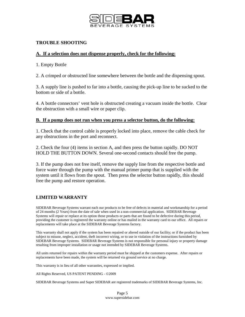

## **TROUBLE SHOOTING**

#### **A. If a selection does not dispense properly, check for the following:**

1. Empty Bottle

2. A crimped or obstructed line somewhere between the bottle and the dispensing spout.

3. A supply line is pushed to far into a bottle, causing the pick-up line to be sucked to the bottom or side of a bottle.

4. A bottle connectors' vent hole is obstructed creating a vacuum inside the bottle. Clear the obstruction with a small wire or paper clip.

#### **B. If a pump does not run when you press a selector button, do the following:**

1. Check that the control cable is properly locked into place, remove the cable check for any obstructions in the port and reconnect.

2. Check the four (4) items in section A, and then press the button rapidly. DO NOT HOLD THE BUTTON DOWN. Several one-second contacts should free the pump.

3. If the pump does not free itself, remove the supply line from the respective bottle and force water through the pump with the manual primer pump that is supplied with the system until it flows from the spout. Then press the selector button rapidly, this should free the pump and restore operation.

## **LIMITED WARRANTY**

SIDEBAR Beverage Systems warrant each our products to be free of defects in material and workmanship for a period of 24 months (2 Years) from the date of sale when used in a non-commercial application. SIDEBAR Beverage Systems will repair or replace at its option those products or parts that are found to be defective during this period, providing the customer is registered the warranty online or has mailed in the warranty card to our office. All repairs or replacements will take place at the SIDEBAR Beverage Systems factory.

This warranty shall not apply if the system has been repaired or altered outside of our facility; or if the product has been subject to misuse, neglect, accident, theft incorrect wiring, or to use in violation of the instructions furnished by SIDEBAR Beverage Systems. SIDEBAR Beverage Systems is not responsible for personal injury or property damage resulting from improper installation or usage not intended by SIDEBAR Beverage Systems.

All units returned for repairs within the warranty period must be shipped at the customers expense. After repairs or replacements have been made, the system will be returned via ground service at no charge.

This warranty is in lieu of all other warranties, expressed or implied.

All Rights Reserved, US PATENT PENDING - ©2009

SIDEBAR Beverage Systems and Super SIDEBAR are registered trademarks of SIDEBAR Beverage Systems, Inc.

Page 5 www.supersidebar.com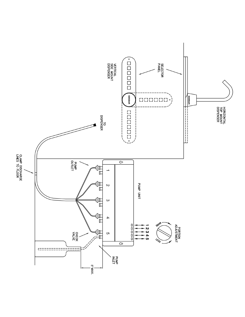